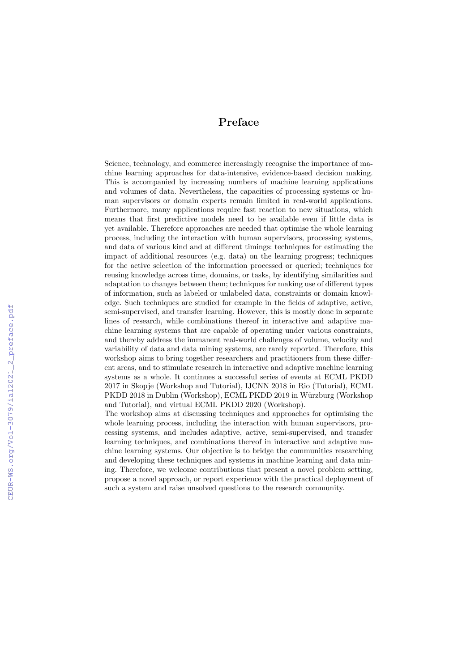## Preface

Science, technology, and commerce increasingly recognise the importance of machine learning approaches for data-intensive, evidence-based decision making. This is accompanied by increasing numbers of machine learning applications and volumes of data. Nevertheless, the capacities of processing systems or human supervisors or domain experts remain limited in real-world applications. Furthermore, many applications require fast reaction to new situations, which means that first predictive models need to be available even if little data is yet available. Therefore approaches are needed that optimise the whole learning process, including the interaction with human supervisors, processing systems, and data of various kind and at different timings: techniques for estimating the impact of additional resources (e.g. data) on the learning progress; techniques for the active selection of the information processed or queried; techniques for reusing knowledge across time, domains, or tasks, by identifying similarities and adaptation to changes between them; techniques for making use of different types of information, such as labeled or unlabeled data, constraints or domain knowledge. Such techniques are studied for example in the fields of adaptive, active, semi-supervised, and transfer learning. However, this is mostly done in separate lines of research, while combinations thereof in interactive and adaptive machine learning systems that are capable of operating under various constraints, and thereby address the immanent real-world challenges of volume, velocity and variability of data and data mining systems, are rarely reported. Therefore, this workshop aims to bring together researchers and practitioners from these different areas, and to stimulate research in interactive and adaptive machine learning systems as a whole. It continues a successful series of events at ECML PKDD 2017 in Skopje (Workshop and Tutorial), IJCNN 2018 in Rio (Tutorial), ECML PKDD 2018 in Dublin (Workshop), ECML PKDD 2019 in Würzburg (Workshop and Tutorial), and virtual ECML PKDD 2020 (Workshop).

The workshop aims at discussing techniques and approaches for optimising the whole learning process, including the interaction with human supervisors, processing systems, and includes adaptive, active, semi-supervised, and transfer learning techniques, and combinations thereof in interactive and adaptive machine learning systems. Our objective is to bridge the communities researching and developing these techniques and systems in machine learning and data mining. Therefore, we welcome contributions that present a novel problem setting, propose a novel approach, or report experience with the practical deployment of such a system and raise unsolved questions to the research community.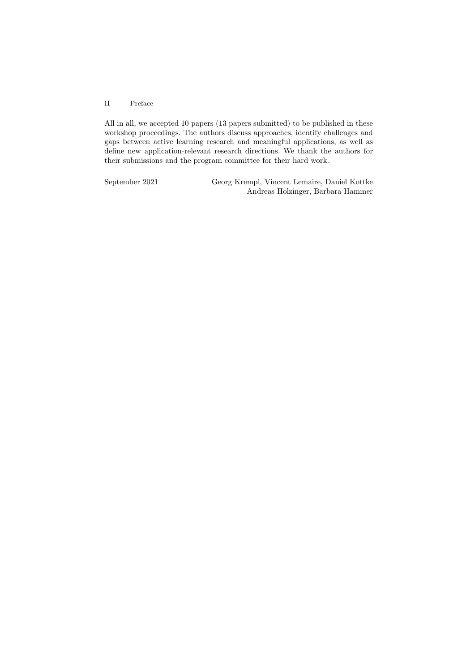#### II Preface

All in all, we accepted 10 papers (13 papers submitted) to be published in these workshop proceedings. The authors discuss approaches, identify challenges and gaps between active learning research and meaningful applications, as well as define new application-relevant research directions. We thank the authors for their submissions and the program committee for their hard work.

September 2021 Georg Krempl, Vincent Lemaire, Daniel Kottke Andreas Holzinger, Barbara Hammer